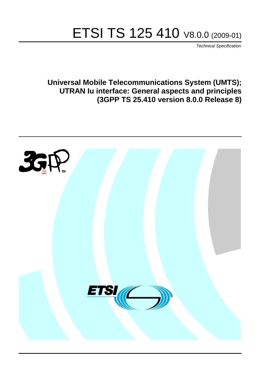# ETSI TS 125 410 V8.0.0 (2009-01)

*Technical Specification*

**Universal Mobile Telecommunications System (UMTS); UTRAN Iu interface: General aspects and principles (3GPP TS 25.410 version 8.0.0 Release 8)**

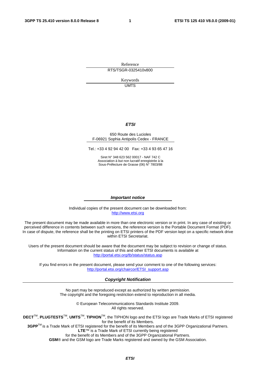Reference RTS/TSGR-0325410v800

> Keywords UMTS

#### *ETSI*

#### 650 Route des Lucioles F-06921 Sophia Antipolis Cedex - FRANCE

Tel.: +33 4 92 94 42 00 Fax: +33 4 93 65 47 16

Siret N° 348 623 562 00017 - NAF 742 C Association à but non lucratif enregistrée à la Sous-Préfecture de Grasse (06) N° 7803/88

#### *Important notice*

Individual copies of the present document can be downloaded from: [http://www.etsi.org](http://www.etsi.org/)

The present document may be made available in more than one electronic version or in print. In any case of existing or perceived difference in contents between such versions, the reference version is the Portable Document Format (PDF). In case of dispute, the reference shall be the printing on ETSI printers of the PDF version kept on a specific network drive within ETSI Secretariat.

Users of the present document should be aware that the document may be subject to revision or change of status. Information on the current status of this and other ETSI documents is available at <http://portal.etsi.org/tb/status/status.asp>

If you find errors in the present document, please send your comment to one of the following services: [http://portal.etsi.org/chaircor/ETSI\\_support.asp](http://portal.etsi.org/chaircor/ETSI_support.asp)

#### *Copyright Notification*

No part may be reproduced except as authorized by written permission. The copyright and the foregoing restriction extend to reproduction in all media.

> © European Telecommunications Standards Institute 2009. All rights reserved.

**DECT**TM, **PLUGTESTS**TM, **UMTS**TM, **TIPHON**TM, the TIPHON logo and the ETSI logo are Trade Marks of ETSI registered for the benefit of its Members.

**3GPP**TM is a Trade Mark of ETSI registered for the benefit of its Members and of the 3GPP Organizational Partners. **LTE**™ is a Trade Mark of ETSI currently being registered

for the benefit of its Members and of the 3GPP Organizational Partners.

**GSM**® and the GSM logo are Trade Marks registered and owned by the GSM Association.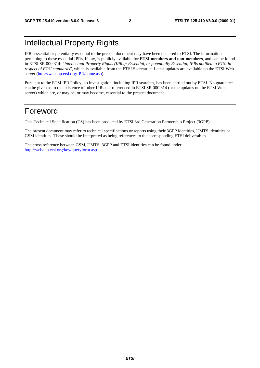# Intellectual Property Rights

IPRs essential or potentially essential to the present document may have been declared to ETSI. The information pertaining to these essential IPRs, if any, is publicly available for **ETSI members and non-members**, and can be found in ETSI SR 000 314: *"Intellectual Property Rights (IPRs); Essential, or potentially Essential, IPRs notified to ETSI in respect of ETSI standards"*, which is available from the ETSI Secretariat. Latest updates are available on the ETSI Web server [\(http://webapp.etsi.org/IPR/home.asp\)](http://webapp.etsi.org/IPR/home.asp).

Pursuant to the ETSI IPR Policy, no investigation, including IPR searches, has been carried out by ETSI. No guarantee can be given as to the existence of other IPRs not referenced in ETSI SR 000 314 (or the updates on the ETSI Web server) which are, or may be, or may become, essential to the present document.

# Foreword

This Technical Specification (TS) has been produced by ETSI 3rd Generation Partnership Project (3GPP).

The present document may refer to technical specifications or reports using their 3GPP identities, UMTS identities or GSM identities. These should be interpreted as being references to the corresponding ETSI deliverables.

The cross reference between GSM, UMTS, 3GPP and ETSI identities can be found under [http://webapp.etsi.org/key/queryform.asp.](http://webapp.etsi.org/key/queryform.asp)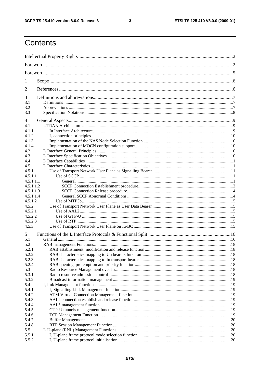$\mathbf{3}$ 

# Contents

| 1              |  |  |  |  |  |  |
|----------------|--|--|--|--|--|--|
| 2              |  |  |  |  |  |  |
| 3              |  |  |  |  |  |  |
| 3.1            |  |  |  |  |  |  |
| 3.2<br>3.3     |  |  |  |  |  |  |
|                |  |  |  |  |  |  |
| 4              |  |  |  |  |  |  |
| 4.1            |  |  |  |  |  |  |
| 4.1.1          |  |  |  |  |  |  |
| 4.1.2          |  |  |  |  |  |  |
| 4.1.3<br>4.1.4 |  |  |  |  |  |  |
| 4.2            |  |  |  |  |  |  |
| 4.3            |  |  |  |  |  |  |
| 4.4            |  |  |  |  |  |  |
| 4.5            |  |  |  |  |  |  |
| 4.5.1          |  |  |  |  |  |  |
| 4.5.1.1        |  |  |  |  |  |  |
| 4.5.1.1.1      |  |  |  |  |  |  |
| 4.5.1.1.2      |  |  |  |  |  |  |
| 4.5.1.1.3      |  |  |  |  |  |  |
| 4.5.1.1.4      |  |  |  |  |  |  |
| 4.5.1.2        |  |  |  |  |  |  |
| 4.5.2          |  |  |  |  |  |  |
| 4.5.2.1        |  |  |  |  |  |  |
| 4.5.2.2        |  |  |  |  |  |  |
| 4.5.2.3        |  |  |  |  |  |  |
| 4.5.3          |  |  |  |  |  |  |
| 5              |  |  |  |  |  |  |
| 5.1            |  |  |  |  |  |  |
| 5.2<br>5.2.1   |  |  |  |  |  |  |
| 5.2.2          |  |  |  |  |  |  |
| 5.2.3          |  |  |  |  |  |  |
| 5.2.4          |  |  |  |  |  |  |
| 5.3            |  |  |  |  |  |  |
| 5.3.1          |  |  |  |  |  |  |
| 5.3.2          |  |  |  |  |  |  |
| 5.4            |  |  |  |  |  |  |
| 5.4.1          |  |  |  |  |  |  |
| 5.4.2          |  |  |  |  |  |  |
| 5.4.3          |  |  |  |  |  |  |
| 5.4.4          |  |  |  |  |  |  |
| 5.4.5          |  |  |  |  |  |  |
| 5.4.6          |  |  |  |  |  |  |
| 5.4.7          |  |  |  |  |  |  |
| 5.4.8          |  |  |  |  |  |  |
| 5.5            |  |  |  |  |  |  |
| 5.5.1          |  |  |  |  |  |  |
| 5.5.2          |  |  |  |  |  |  |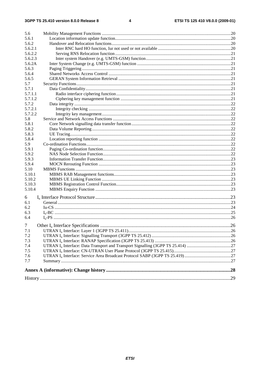| 5.6     |  |
|---------|--|
| 5.6.1   |  |
| 5.6.2   |  |
| 5.6.2.1 |  |
| 5.6.2.2 |  |
| 5.6.2.3 |  |
| 5.6.2A  |  |
| 5.6.3   |  |
| 5.6.4   |  |
| 5.6.5   |  |
| 5.7     |  |
| 5.7.1   |  |
| 5.7.1.1 |  |
| 5.7.1.2 |  |
| 5.7.2   |  |
| 5.7.2.1 |  |
| 5.7.2.2 |  |
| 5.8     |  |
| 5.8.1   |  |
| 5.8.2   |  |
| 5.8.3   |  |
| 5.8.4   |  |
| 5.9     |  |
| 5.9.1   |  |
| 5.9.2   |  |
| 5.9.3   |  |
| 5.9.4   |  |
| 5.10    |  |
| 5.10.1  |  |
| 5.10.2  |  |
| 5.10.3  |  |
| 5.10.4  |  |
| 6       |  |
| 6.1     |  |
| 6.2     |  |
| 6.3     |  |
| 6.4     |  |
|         |  |
| $\tau$  |  |
| 7.1     |  |
| 7.2     |  |
| 7.3     |  |
| 7.4     |  |
| 7.5     |  |
| 7.6     |  |
| 7.7     |  |
|         |  |
|         |  |
|         |  |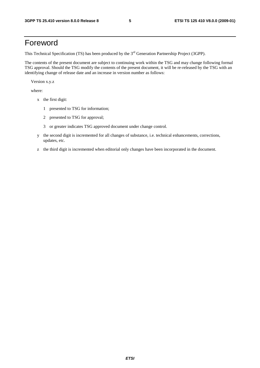# Foreword

This Technical Specification (TS) has been produced by the 3<sup>rd</sup> Generation Partnership Project (3GPP).

The contents of the present document are subject to continuing work within the TSG and may change following formal TSG approval. Should the TSG modify the contents of the present document, it will be re-released by the TSG with an identifying change of release date and an increase in version number as follows:

Version x.y.z

where:

- x the first digit:
	- 1 presented to TSG for information;
	- 2 presented to TSG for approval;
	- 3 or greater indicates TSG approved document under change control.
- y the second digit is incremented for all changes of substance, i.e. technical enhancements, corrections, updates, etc.
- z the third digit is incremented when editorial only changes have been incorporated in the document.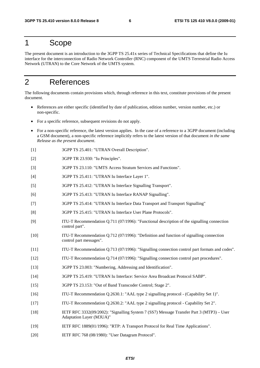### 1 Scope

The present document is an introduction to the 3GPP TS 25.41x series of Technical Specifications that define the Iu interface for the interconnection of Radio Network Controller (RNC) component of the UMTS Terrestrial Radio Access Network (UTRAN) to the Core Network of the UMTS system.

# 2 References

The following documents contain provisions which, through reference in this text, constitute provisions of the present document.

- References are either specific (identified by date of publication, edition number, version number, etc.) or non-specific.
- For a specific reference, subsequent revisions do not apply.
- For a non-specific reference, the latest version applies. In the case of a reference to a 3GPP document (including a GSM document), a non-specific reference implicitly refers to the latest version of that document *in the same Release as the present document*.
- [1] 3GPP TS 25.401: "UTRAN Overall Description".
- [2] 3GPP TR 23.930: "Iu Principles".
- [3] 3GPP TS 23.110: "UMTS Access Stratum Services and Functions".
- [4] 3GPP TS 25.411: "UTRAN Iu Interface Layer 1".
- [5] 3GPP TS 25.412: "UTRAN Iu Interface Signalling Transport".
- [6] 3GPP TS 25.413: "UTRAN Iu Interface RANAP Signalling".
- [7] 3GPP TS 25.414: "UTRAN Iu Interface Data Transport and Transport Signalling"
- [8] 3GPP TS 25.415: "UTRAN Iu Interface User Plane Protocols".
- [9] ITU-T Recommendation Q.711 (07/1996): "Functional description of the signalling connection control part".
- [10] ITU-T Recommendation Q.712 (07/1996): "Definition and function of signalling connection control part messages".
- [11] ITU-T Recommendation Q.713 (07/1996): "Signalling connection control part formats and codes".
- [12] ITU-T Recommendation Q.714 (07/1996): "Signalling connection control part procedures".
- [13] 3GPP TS 23.003: "Numbering, Addressing and Identification".
- [14] 3GPP TS 25.419: "UTRAN Iu Interface: Service Area Broadcast Protocol SABP".
- [15] 3GPP TS 23.153: "Out of Band Transcoder Control; Stage 2".
- [16] ITU-T Recommendation Q.2630.1: "AAL type 2 signalling protocol (Capability Set 1)".
- [17] ITU-T Recommendation Q.2630.2: "AAL type 2 signalling protocol Capability Set 2".
- [18] IETF RFC 3332(09/2002): "Signalling System 7 (SS7) Message Transfer Part 3 (MTP3) User Adaptation Layer (M3UA)"
- [19] IETF RFC 1889(01/1996): "RTP: A Transport Protocol for Real Time Applications".
- [20] IETF RFC 768 (08/1980): "User Datagram Protocol".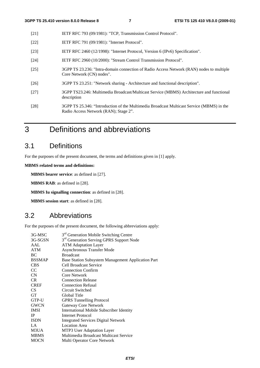- [21] IETF RFC 793 (09/1981): "TCP, Transmission Control Protocol".
- [22] **IETF RFC 791 (09/1981): "Internet Protocol".**
- [23] IETF RFC 2460 (12/1998): "Internet Protocol, Version 6 (IPv6) Specification".
- [24] IETF RFC 2960 (10/2000): "Stream Control Transmission Protocol".
- [25] 3GPP TS 23.236: "Intra-domain connection of Radio Access Network (RAN) nodes to multiple Core Network (CN) nodes".
- [26] 3GPP TS 23.251: "Network sharing Architecture and functional description".
- [27] 3GPP TS23.246: Multimedia Broadcast/Multicast Service (MBMS) Architecture and functional description
- [28] 3GPP TS 25.346: "Introduction of the Multimedia Broadcast Multicast Service (MBMS) in the Radio Access Network (RAN); Stage 2".
- 3 Definitions and abbreviations

# 3.1 Definitions

For the purposes of the present document, the terms and definitions given in [1] apply.

**MBMS related terms and definitions:** 

**MBMS bearer service**: as defined in [27].

**MBMS RAB**: as defined in [28].

**MBMS Iu signalling connection**: as defined in [28].

**MBMS session start**: as defined in [28].

### 3.2 Abbreviations

For the purposes of the present document, the following abbreviations apply:

| 3G-MSC          | 3 <sup>rd</sup> Generation Mobile Switching Centre   |
|-----------------|------------------------------------------------------|
| 3G-SGSN         | 3 <sup>rd</sup> Generation Serving GPRS Support Node |
| AAL             | <b>ATM Adaptation Layer</b>                          |
| <b>ATM</b>      | <b>Asynchronous Transfer Mode</b>                    |
| BC              | <b>Broadcast</b>                                     |
| <b>BSSMAP</b>   | Base Station Subsystem Management Application Part   |
| <b>CBS</b>      | Cell Broadcast Service                               |
| <sub>CC</sub>   | <b>Connection Confirm</b>                            |
| CN              | Core Network                                         |
| <b>CR</b>       | <b>Connection Release</b>                            |
| <b>CREF</b>     | <b>Connection Refusal</b>                            |
| CS <sup>-</sup> | Circuit Switched                                     |
| <b>GT</b>       | Global Title                                         |
| GTP-U           | <b>GPRS</b> Tunnelling Protocol                      |
| <b>GWCN</b>     | Gateway Core Network                                 |
| <b>IMSI</b>     | <b>International Mobile Subscriber Identity</b>      |
| IP              | Internet Protocol                                    |
| <b>ISDN</b>     | <b>Integrated Services Digital Network</b>           |
| LA              | <b>Location</b> Area                                 |
| M3UA            | MTP3 User Adaptation Layer                           |
| <b>MBMS</b>     | Multimedia Broadcast Multicast Service               |
| <b>MOCN</b>     | Multi Operator Core Network                          |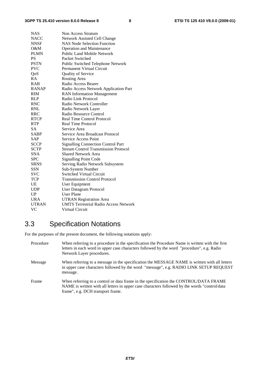| <b>NAS</b>   | <b>Non Access Stratum</b>                    |
|--------------|----------------------------------------------|
| NACC         | <b>Network Assisted Cell Change</b>          |
| NNSF         | NAS Node Selection Function                  |
| O&M          | <b>Operation and Maintenance</b>             |
| <b>PLMN</b>  | <b>Public Land Mobile Network</b>            |
| <b>PS</b>    | Packet Switched                              |
| <b>PSTN</b>  | Public Switched Telephone Network            |
| <b>PVC</b>   | <b>Permanent Virtual Circuit</b>             |
| QoS          | Quality of Service                           |
| RA           | Routing Area                                 |
| <b>RAB</b>   | Radio Access Bearer                          |
| <b>RANAP</b> | Radio Access Network Application Part        |
| <b>RIM</b>   | <b>RAN</b> Information Management            |
| <b>RLP</b>   | Radio Link Protocol                          |
| <b>RNC</b>   | Radio Network Controller                     |
| <b>RNL</b>   | Radio Network Layer                          |
| <b>RRC</b>   | Radio Resource Control                       |
| <b>RTCP</b>  | <b>Real Time Control Protocol</b>            |
| <b>RTP</b>   | Real Time Protocol                           |
| <b>SA</b>    | Service Area                                 |
| SABP         | Service Area Broadcast Protocol              |
| SAP          | <b>Service Access Point</b>                  |
| SCCP         | <b>Signalling Connection Control Part</b>    |
| SCTP         | <b>Stream Control Transmission Protocol</b>  |
| <b>SNA</b>   | <b>Shared Network Area</b>                   |
| <b>SPC</b>   | <b>Signalling Point Code</b>                 |
| <b>SRNS</b>  | Serving Radio Network Subsystem              |
| <b>SSN</b>   | Sub-System Number                            |
| <b>SVC</b>   | <b>Switched Virtual Circuit</b>              |
| <b>TCP</b>   | <b>Transmission Control Protocol</b>         |
| UE           | User Equipment                               |
| <b>UDP</b>   | <b>User Datagram Protocol</b>                |
| UP           | <b>User Plane</b>                            |
| <b>URA</b>   | <b>UTRAN Registration Area</b>               |
| <b>UTRAN</b> | <b>UMTS Terrestrial Radio Access Network</b> |
| VC           | Virtual Circuit                              |

# 3.3 Specification Notations

For the purposes of the present document, the following notations apply:

| Procedure | When referring to a procedure in the specification the Procedure Name is written with the first<br>letters in each word in upper case characters followed by the word "procedure", e.g. Radio<br>Network Layer procedures.   |
|-----------|------------------------------------------------------------------------------------------------------------------------------------------------------------------------------------------------------------------------------|
| Message   | When referring to a message in the specification the MESSAGE NAME is written with all letters<br>in upper case characters followed by the word "message", e.g. RADIO LINK SETUP REQUEST<br>message.                          |
| Frame     | When referring to a control or data frame in the specification the CONTROL/DATA FRAME<br>NAME is written with all letters in upper case characters followed by the words "control/data"<br>frame", e.g. DCH transport frame. |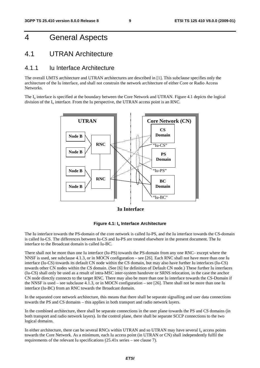# 4 General Aspects

### 4.1 UTRAN Architecture

#### 4.1.1 Iu Interface Architecture

The overall UMTS architecture and UTRAN architectures are described in [1]. This subclause specifies only the architecture of the Iu interface, and shall not constrain the network architecture of either Core or Radio Access Networks.

The  $I_{\text{u}}$  interface is specified at the boundary between the Core Network and UTRAN. Figure 4.1 depicts the logical division of the  $I_u$  interface. From the Iu perspective, the UTRAN access point is an RNC.



**Iu Interface**



The Iu interface towards the PS-domain of the core network is called Iu-PS, and the Iu interface towards the CS-domain is called Iu-CS. The differences between Iu-CS and Iu-PS are treated elsewhere in the present document. The Iu interface to the Broadcast domain is called Iu-BC.

There shall not be more than one Iu interface (Iu-PS) towards the PS-domain from any one RNC– except where the NNSF is used, see subclause 4.1.3, or in MOCN configuration – see [26]. Each RNC shall not have more than one Iu interface (Iu-CS) towards its default CN node within the CS domain, but may also have further Iu interfaces (Iu-CS) towards other CN nodes within the CS domain. (See [6] for definition of Default CN node.) These further Iu interfaces (Iu-CS) shall only be used as a result of intra-MSC inter-system handover or SRNS relocation, in the case the anchor CN node directly connects to the target RNC. There may also be more than one Iu interface towards the CS-Domain if the NNSF is used – see subclause 4.1.3, or in MOCN configuration – see [26]. There shall not be more than one Iu interface (Iu-BC) from an RNC towards the Broadcast domain.

In the separated core network architecture, this means that there shall be separate signalling and user data connections towards the PS and CS domains – this applies in both transport and radio network layers.

In the combined architecture, there shall be separate connections in the user plane towards the PS and CS domains (in both transport and radio network layers). In the control plane, there shall be separate SCCP connections to the two logical domains.

In either architecture, there can be several RNCs within UTRAN and so UTRAN may have several  $I<sub>u</sub>$  access points towards the Core Network. As a minimum, each Iu access point (in UTRAN or CN) shall independently fulfil the requirements of the relevant Iu specifications (25.41x series – see clause 7).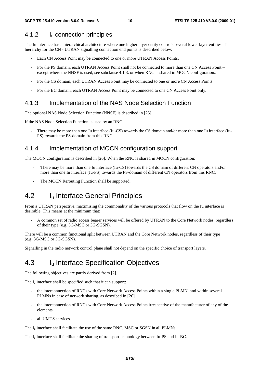### 4.1.2 Iu connection principles

The Iu interface has a hierarchical architecture where one higher layer entity controls several lower layer entities. The hierarchy for the CN - UTRAN signalling connection end points is described below:

- Each CN Access Point may be connected to one or more UTRAN Access Points.
- For the PS domain, each UTRAN Access Point shall not be connected to more than one CN Access Point except where the NNSF is used, see subclause 4.1.3, or when RNC is shared in MOCN configuration..
- For the CS domain, each UTRAN Access Point may be connected to one or more CN Access Points.
- For the BC domain, each UTRAN Access Point may be connected to one CN Access Point only.

### 4.1.3 Implementation of the NAS Node Selection Function

The optional NAS Node Selection Function (NNSF) is described in [25].

If the NAS Node Selection Function is used by an RNC:

There may be more than one Iu interface (Iu-CS) towards the CS domain and/or more than one Iu interface (Iu-PS) towards the PS-domain from this RNC.

### 4.1.4 Implementation of MOCN configuration support

The MOCN configuration is described in [26]. When the RNC is shared in MOCN configuration:

- There may be more than one Iu interface (Iu-CS) towards the CS domain of different CN operators and/or more than one Iu interface (Iu-PS) towards the PS-domain of different CN operators from this RNC.
- The MOCN Rerouting Function shall be supported.

# 4.2 I<sub>u</sub> Interface General Principles

From a UTRAN perspective, maximising the commonality of the various protocols that flow on the Iu interface is desirable. This means at the minimum that:

- A common set of radio access bearer services will be offered by UTRAN to the Core Network nodes, regardless of their type (e.g. 3G-MSC or 3G-SGSN).

There will be a common functional split between UTRAN and the Core Network nodes, regardless of their type (e.g. 3G-MSC or 3G-SGSN).

Signalling in the radio network control plane shall not depend on the specific choice of transport layers.

# 4.3 I<sub>u</sub> Interface Specification Objectives

The following objectives are partly derived from [2].

The  $I_{\nu}$  interface shall be specified such that it can support:

- the interconnection of RNCs with Core Network Access Points within a single PLMN, and within several PLMNs in case of network sharing, as described in [26].
- the interconnection of RNCs with Core Network Access Points irrespective of the manufacturer of any of the elements.
- all UMTS services.

The  $I<sub>u</sub>$  interface shall facilitate the use of the same RNC, MSC or SGSN in all PLMNs.

The I<sub>u</sub> interface shall facilitate the sharing of transport technology between Iu-PS and Iu-BC.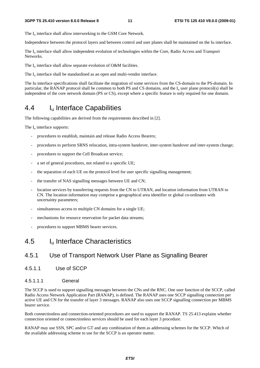The  $I_{\text{u}}$  interface shall allow interworking to the GSM Core Network.

Independence between the protocol layers and between control and user planes shall be maintained on the Iu interface.

The I<sub>u</sub> interface shall allow independent evolution of technologies within the Core, Radio Access and Transport Networks.

The  $I_u$  interface shall allow separate evolution of O&M facilities.

The  $I_{\text{u}}$  interface shall be standardised as an open and multi-vendor interface.

The Iu interface specifications shall facilitate the migration of some services from the CS-domain to the PS-domain. In particular, the RANAP protocol shall be common to both PS and CS domains, and the  $I<sub>u</sub>$  user plane protocol(s) shall be independent of the core network domain (PS or CS), except where a specific feature is only required for one domain.

# 4.4 Iu Interface Capabilities

The following capabilities are derived from the requirements described in [2].

The  $I_{\text{u}}$  interface supports:

- procedures to establish, maintain and release Radio Access Bearers;
- procedures to perform SRNS relocation, intra-system handover, inter-system handover and inter-system change;
- procedures to support the Cell Broadcast service;
- a set of general procedures, not related to a specific UE;
- the separation of each UE on the protocol level for user specific signalling management;
- the transfer of NAS signalling messages between UE and CN;
- location services by transferring requests from the CN to UTRAN, and location information from UTRAN to CN. The location information may comprise a geographical area identifier or global co-ordinates with uncertainty parameters;
- simultaneous access to multiple CN domains for a single UE;
- mechanisms for resource reservation for packet data streams;
- procedures to support MBMS bearer services.

#### 4.5 Iu Interface Characteristics

#### 4.5.1 Use of Transport Network User Plane as Signalling Bearer

4.5.1.1 Use of SCCP

#### 4.5.1.1.1 General

The SCCP is used to support signalling messages between the CNs and the RNC. One user function of the SCCP, called Radio Access Network Application Part (RANAP), is defined. The RANAP uses one SCCP signalling connection per active UE and CN for the transfer of layer 3 messages. RANAP also uses one SCCP signalling connection per MBMS bearer service.

Both connectionless and connection-oriented procedures are used to support the RANAP. TS 25.413 explains whether connection oriented or connectionless services should be used for each layer 3 procedure.

RANAP may use SSN, SPC and/or GT and any combination of them as addressing schemes for the SCCP. Which of the available addressing scheme to use for the SCCP is an operator matter.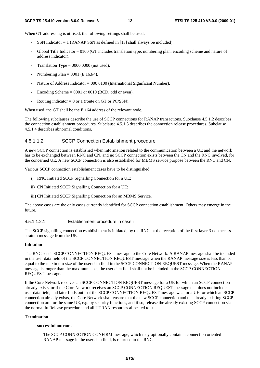When GT addressing is utilised, the following settings shall be used:

- SSN Indicator  $= 1$  (RANAP SSN as defined in [13] shall always be included).
- Global Title Indicator = 0100 (GT includes translation type, numbering plan, encoding scheme and nature of address indicator).
- Translation Type =  $0000 0000$  (not used).
- Numbering Plan =  $0001$  (E.163/4).
- Nature of Address Indicator = 000 0100 (International Significant Number).
- Encoding Scheme  $= 0001$  or 0010 (BCD, odd or even).
- Routing indicator = 0 or 1 (route on GT or PC/SSN).

When used, the GT shall be the E.164 address of the relevant node.

The following subclauses describe the use of SCCP connections for RANAP transactions. Subclause 4.5.1.2 describes the connection establishment procedures. Subclause 4.5.1.3 describes the connection release procedures. Subclause 4.5.1.4 describes abnormal conditions.

#### 4.5.1.1.2 SCCP Connection Establishment procedure

A new SCCP connection is established when information related to the communication between a UE and the network has to be exchanged between RNC and CN, and no SCCP connection exists between the CN and the RNC involved, for the concerned UE. A new SCCP connection is also established for MBMS service purpose between the RNC and CN.

Various SCCP connection establishment cases have to be distinguished:

- i) RNC Initiated SCCP Signalling Connection for a UE;
- ii) CN Initiated SCCP Signalling Connection for a UE;
- iii) CN Initiated SCCP Signalling Connection for an MBMS Service.

The above cases are the only cases currently identified for SCCP connection establishment. Others may emerge in the future.

#### 4.5.1.1.2.1 Establishment procedure in case i

The SCCP signalling connection establishment is initiated, by the RNC, at the reception of the first layer 3 non access stratum message from the UE.

#### **Initiation**

The RNC sends SCCP CONNECTION REQUEST message to the Core Network. A RANAP message shall be included in the user data field of the SCCP CONNECTION REQUEST message when the RANAP message size is less than or equal to the maximum size of the user data field in the SCCP CONNECTION REQUEST message. When the RANAP message is longer than the maximum size, the user data field shall not be included in the SCCP CONNECTION REQUEST message.

If the Core Network receives an SCCP CONNECTION REQUEST message for a UE for which an SCCP connection already exists, or if the Core Network receives an SCCP CONNECTION REQUEST message that does not include a user data field, and later finds out that the SCCP CONNECTION REQUEST message was for a UE for which an SCCP connection already exists, the Core Network shall ensure that the new SCCP connection and the already existing SCCP connection are for the same UE, e.g. by security functions, and if so, release the already existing SCCP connection via the normal Iu Release procedure and all UTRAN resources allocated to it.

#### **Termination**

- **successful outcome** 
	- The SCCP CONNECTION CONFIRM message, which may optionally contain a connection oriented RANAP message in the user data field, is returned to the RNC.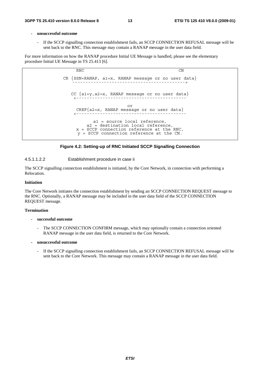#### **- unsuccessful outcome**

If the SCCP signalling connection establishment fails, an SCCP CONNECTION REFUSAL message will be sent back to the RNC. This message may contain a RANAP message in the user data field.

For more information on how the RANAP procedure Initial UE Message is handled, please see the elementary procedure Initial UE Message in TS 25.413 [6].

```
RNC CN
CR {SSN=RANAP, a1=x, RANAP message or no user data}CC {a1=y,a2=x, RANAP message or no user data} 
                  <------------------------------------------ 
                        or 
     CREF{a2=x, RANAP message or no user data} 
    <------------------------------------------ 
           a1 = source local reference, 
         a2 = destination local reference, 
     x = SCCP connection reference at the RNC, 
     y = SCCP connection reference at the CN.
```


#### 4.5.1.1.2.2 Establishment procedure in case ii

The SCCP signalling connection establishment is initiated, by the Core Network, in connection with performing a Relocation.

#### **Initiation**

The Core Network initiates the connection establishment by sending an SCCP CONNECTION REQUEST message to the RNC. Optionally, a RANAP message may be included in the user data field of the SCCP CONNECTION REQUEST message.

#### **Termination**

- **successful outcome** 
	- The SCCP CONNECTION CONFIRM message, which may optionally contain a connection oriented RANAP message in the user data field, is returned to the Core Network.

#### **- unsuccessful outcome**

- If the SCCP signalling connection establishment fails, an SCCP CONNECTION REFUSAL message will be sent back to the Core Network. This message may contain a RANAP message in the user data field.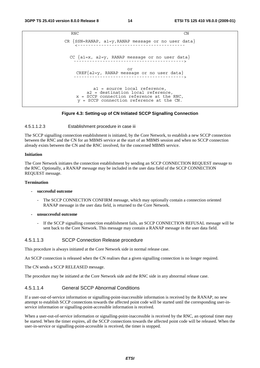```
RNC CN
CR \n{SSN=RANAP, al=y, RANAP message or no user data}CC {a1=x, a2=y, RANAP message or no user data} 
                         ------------------------------------------> 
                         or 
    CREF{a2=y, RANAP message or no user data} 
                        ------------------------------------------> 
           a1 = source local reference, 
        a2 = destination local reference, 
    x = SCCP connection reference at the RNC, 
     y = SCCP connection reference at the CN.
```
#### **Figure 4.3: Setting-up of CN Initiated SCCP Signalling Connection**

#### 4.5.1.1.2.3 Establishment procedure in case iii

The SCCP signalling connection establishment is initiated, by the Core Network, to establish a new SCCP connection between the RNC and the CN for an MBMS service at the start of an MBMS session and when no SCCP connection already exists between the CN and the RNC involved, for the concerned MBMS service.

#### **Initiation**

The Core Network initiates the connection establishment by sending an SCCP CONNECTION REQUEST message to the RNC. Optionally, a RANAP message may be included in the user data field of the SCCP CONNECTION REQUEST message.

#### **Termination**

#### **- successful outcome**

- The SCCP CONNECTION CONFIRM message, which may optionally contain a connection oriented RANAP message in the user data field, is returned to the Core Network.
- **unsuccessful outcome** 
	- If the SCCP signalling connection establishment fails, an SCCP CONNECTION REFUSAL message will be sent back to the Core Network. This message may contain a RANAP message in the user data field.

#### 4.5.1.1.3 SCCP Connection Release procedure

This procedure is always initiated at the Core Network side in normal release case.

An SCCP connection is released when the CN realises that a given signalling connection is no longer required.

The CN sends a SCCP RELEASED message.

The procedure may be initiated at the Core Network side and the RNC side in any abnormal release case.

#### 4.5.1.1.4 General SCCP Abnormal Conditions

If a user-out-of-service information or signalling-point-inaccessible information is received by the RANAP, no new attempt to establish SCCP connections towards the affected point code will be started until the corresponding user-inservice information or signalling-point-accessible information is received.

When a user-out-of-service information or signalling-point-inaccessible is received by the RNC, an optional timer may be started. When the timer expires, all the SCCP connections towards the affected point code will be released. When the user-in-service or signalling-point-accessible is received, the timer is stopped.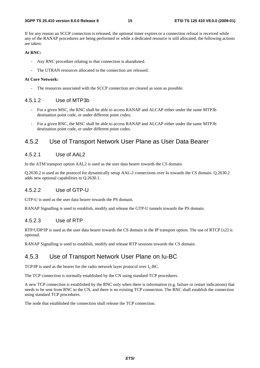If for any reason an SCCP connection is released, the optional timer expires or a connection refusal is received while any of the RANAP procedures are being performed or while a dedicated resource is still allocated, the following actions are taken:

#### **At RNC:**

- Any RNC procedure relating to that connection is abandoned.
- The UTRAN resources allocated to the connection are released.

#### **At Core Network:**

The resources associated with the SCCP connection are cleared as soon as possible.

#### 4.5.1.2 Use of MTP3b

- For a given MSC, the RNC shall be able to access RANAP and ALCAP either under the same MTP3b destination point code, or under different point codes;
- For a given RNC, the MSC shall be able to access RANAP and ALCAP either under the same MTP3b destination point code, or under different point codes.

#### 4.5.2 Use of Transport Network User Plane as User Data Bearer

#### 4.5.2.1 Use of AAL2

In the ATM transport option AAL2 is used as the user data bearer towards the CS domain.

Q.2630.2 is used as the protocol for dynamically setup AAL-2 connections over Iu towards the CS domain. Q.2630.2 adds new optional capabilities to Q.2630.1.

#### 4.5.2.2 Use of GTP-U

GTP-U is used as the user data bearer towards the PS domain.

RANAP Signalling is used to establish, modify and release the GTP-U tunnels towards the PS domain.

#### 4.5.2.3 Use of RTP

RTP/UDP/IP is used as the user data bearer towards the CS domain in the IP transport option. The use of RTCP [x2] is optional.

RANAP Signalling is used to establish, modify and release RTP sessions towards the CS domain.

#### 4.5.3 Use of Transport Network User Plane on Iu-BC

TCP/IP is used as the bearer for the radio network layer protocol over  $I_u$ -BC.

The TCP connection is normally established by the CN using standard TCP procedures.

A new TCP connection is established by the RNC only when there is information (e.g. failure or restart indications) that needs to be sent from RNC to the CN, and there is no existing TCP connection. The RNC shall establish the connection using standard TCP procedures.

The node that established the connection shall release the TCP connection.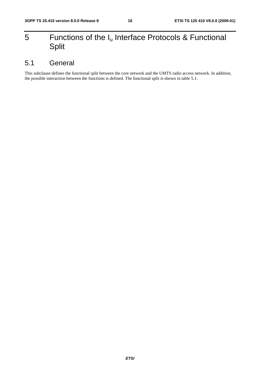# 5 Functions of the  $I_u$  Interface Protocols & Functional Split

# 5.1 General

This subclause defines the functional split between the core network and the UMTS radio access network. In addition, the possible interaction between the functions is defined. The functional split is shown in table 5.1.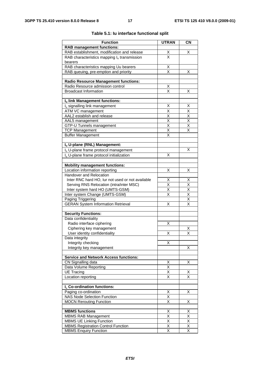| <b>Function</b>                                                       | <b>UTRAN</b>                    | <b>CN</b>                           |
|-----------------------------------------------------------------------|---------------------------------|-------------------------------------|
| <b>RAB management functions:</b>                                      |                                 |                                     |
| RAB establishment, modification and release                           |                                 | х                                   |
| RAB characteristics mapping $I_u$ transmission                        | $\frac{\mathsf{x}}{\mathsf{x}}$ |                                     |
| bearers                                                               |                                 |                                     |
| RAB characteristics mapping Uu bearers                                | $\frac{X}{X}$                   |                                     |
| RAB queuing, pre-emption and priority                                 |                                 | х                                   |
|                                                                       |                                 |                                     |
| <b>Radio Resource Management functions:</b>                           |                                 |                                     |
| Radio Resource admission control                                      | Χ                               |                                     |
| <b>Broadcast Information</b>                                          | X                               | Х                                   |
| Iu link Management functions:                                         |                                 |                                     |
|                                                                       | х                               | х                                   |
| I <sub>u</sub> signalling link management<br><b>ATM VC management</b> | $\overline{\mathsf{x}}$         | $\overline{\mathsf{x}}$             |
| AAL2 establish and release                                            |                                 |                                     |
| AAL5 management                                                       | $\frac{\mathsf{X}}{\mathsf{X}}$ | $\frac{\overline{x}}{\overline{x}}$ |
| GTP-U Tunnels management                                              | $\overline{\mathsf{x}}$         | $\overline{\mathsf{x}}$             |
| <b>TCP Management</b>                                                 | $\overline{\mathsf{x}}$         | X                                   |
| <b>Buffer Management</b>                                              | X                               |                                     |
|                                                                       |                                 |                                     |
| Iu U-plane (RNL) Management:                                          |                                 |                                     |
| I <sub>u</sub> U-plane frame protocol management                      |                                 | х                                   |
| I <sub>u</sub> U-plane frame protocol initialization                  | X                               |                                     |
|                                                                       |                                 |                                     |
| <b>Mobility management functions:</b>                                 |                                 |                                     |
| Location information reporting                                        | Χ                               | х                                   |
| Handover and Relocation                                               |                                 |                                     |
| Inter RNC hard HO, lur not used or not available                      | X                               | Χ                                   |
| Serving RNS Relocation (intra/inter MSC)                              | X                               | $\overline{\mathsf{X}}$             |
| Inter system hard HO (UMTS-GSM)                                       | $\overline{\mathsf{x}}$         | $\overline{\mathsf{x}}$             |
| Inter system Change (UMTS-GSM)                                        | $\overline{\mathsf{x}}$         | $\frac{1}{x}$                       |
| Paging Triggering                                                     |                                 | $\overline{\mathsf{x}}$             |
| <b>GERAN System Information Retrieval</b>                             | Χ                               | $\overline{\mathsf{x}}$             |
|                                                                       |                                 |                                     |
| <b>Security Functions:</b>                                            |                                 |                                     |
| Data confidentiality                                                  |                                 |                                     |
| Radio interface ciphering                                             | х                               |                                     |
| Ciphering key management                                              |                                 | Х                                   |
| User identity confidentiality                                         | Χ                               | X                                   |
| Data integrity                                                        |                                 |                                     |
| Integrity checking                                                    | х                               |                                     |
| Integrity key management                                              |                                 | х                                   |
|                                                                       |                                 |                                     |
| <b>Service and Network Access functions:</b>                          |                                 |                                     |
| CN Signalling data                                                    | Χ<br>$\overline{\mathsf{x}}$    | Χ                                   |
| Data Volume Reporting                                                 |                                 |                                     |
| <b>UE Tracing</b>                                                     | Χ                               | х                                   |
| Location reporting                                                    | Χ                               | X                                   |
| I <sub>u</sub> Co-ordination functions:                               |                                 |                                     |
| Paging co-ordination                                                  | Х                               | X                                   |
| <b>NAS Node Selection Function</b>                                    | X                               |                                     |
| <b>MOCN Rerouting Function</b>                                        | $\overline{\mathsf{x}}$         | Χ                                   |
|                                                                       |                                 |                                     |
| <b>MBMS functions</b>                                                 | х                               | х                                   |
| <b>MBMS RAB Management</b>                                            | Χ                               | $\overline{\mathsf{x}}$             |
| <b>MBMS UE Linking Function</b>                                       | Χ                               | X                                   |
| <b>MBMS Registration Control Function</b>                             | Χ                               | X                                   |
| <b>MBMS Enquiry Function</b>                                          | $\overline{\mathsf{x}}$         | $\overline{\mathsf{x}}$             |

#### **Table 5.1: Iu interface functional split**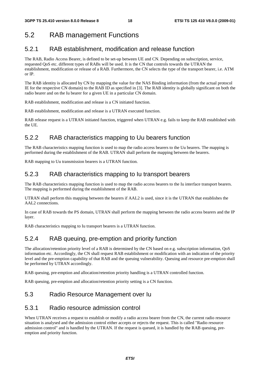# 5.2 RAB management Functions

# 5.2.1 RAB establishment, modification and release function

The RAB, Radio Access Bearer, is defined to be set-up between UE and CN. Depending on subscription, service, requested QoS etc. different types of RABs will be used. It is the CN that controls towards the UTRAN the establishment, modification or release of a RAB. Furthermore, the CN selects the type of the transport bearer, i.e. ATM or IP.

The RAB identity is allocated by CN by mapping the value for the NAS Binding information (from the actual protocol IE for the respective CN domain) to the RAB ID as specified in [3]. The RAB identity is globally significant on both the radio bearer and on the Iu bearer for a given UE in a particular CN domain.

RAB establishment, modification and release is a CN initiated function.

RAB establishment, modification and release is a UTRAN executed function.

RAB release request is a UTRAN initiated function, triggered when UTRAN e.g. fails to keep the RAB established with the UE.

# 5.2.2 RAB characteristics mapping to Uu bearers function

The RAB characteristics mapping function is used to map the radio access bearers to the Uu bearers. The mapping is performed during the establishment of the RAB. UTRAN shall perform the mapping between the bearers.

RAB mapping to Uu transmission bearers is a UTRAN function.

# 5.2.3 RAB characteristics mapping to Iu transport bearers

The RAB characteristics mapping function is used to map the radio access bearers to the Iu interface transport bearers. The mapping is performed during the establishment of the RAB.

UTRAN shall perform this mapping between the bearers if AAL2 is used, since it is the UTRAN that establishes the AAL2 connections.

In case of RAB towards the PS domain, UTRAN shall perform the mapping between the radio access bearers and the IP layer.

RAB characteristics mapping to Iu transport bearers is a UTRAN function.

# 5.2.4 RAB queuing, pre-emption and priority function

The allocation/retention priority level of a RAB is determined by the CN based on e.g. subscription information, QoS information etc. Accordingly, the CN shall request RAB establishment or modification with an indication of the priority level and the pre-emption capability of that RAB and the queuing vulnerability. Queuing and resource pre-emption shall be performed by UTRAN accordingly.

RAB queuing, pre-emption and allocation/retention priority handling is a UTRAN controlled function.

RAB queuing, pre-emption and allocation/retention priority setting is a CN function.

### 5.3 Radio Resource Management over Iu

### 5.3.1 Radio resource admission control

When UTRAN receives a request to establish or modify a radio access bearer from the CN, the current radio resource situation is analysed and the admission control either accepts or rejects the request. This is called "Radio resource admission control" and is handled by the UTRAN. If the request is queued, it is handled by the RAB queuing, preemption and priority function.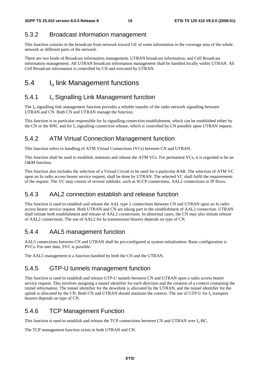### 5.3.2 Broadcast information management

This function consists in the broadcast from network toward UE of some information in the coverage area of the whole network or different parts of the network.

There are two kinds of Broadcast information management. UTRAN broadcast information, and Cell Broadcast information management. All UTRAN broadcast information management shall be handled locally within UTRAN. All Cell Broadcast information is controlled by CN and executed by UTRAN.

# 5.4 I<sub>u</sub> link Management functions

### 5.4.1 **I**<sub>u</sub> Signalling Link Management function

The I<sub>u</sub> signalling link management function provides a reliable transfer of the radio network signalling between UTRAN and CN. Both CN and UTRAN manage the function.

This function is in particular responsible for Iu signalling connection establishment, which can be established either by the CN or the RNC and for  $I_u$  signalling connection release, which is controlled by CN possibly upon UTRAN request.

#### 5.4.2 ATM Virtual Connection Management function

This function refers to handling of ATM Virtual Connections (VCs) between CN and UTRAN.

This function shall be used to establish, maintain and release the ATM VCs. For permanent VCs, it is regarded to be an O&M function.

This function also includes the selection of a Virtual Circuit to be used for a particular RAB. The selection of ATM VC upon an Iu radio access bearer service request, shall be done by UTRAN. The selected VC shall fulfil the requirements of the request. The VC may consist of several sublinks: such as SCCP connections, AAL2 connections or IP flows.

### 5.4.3 AAL2 connection establish and release function

This function is used to establish and release the AAL type 2 connections between CN and UTRAN upon an Iu radio access bearer service request. Both UTRAN and CN are taking part in the establishment of AAL2 connection. UTRAN shall initiate both establishment and release of AAL2 connections. In abnormal cases, the CN may also initiate release of AAL2 connections. The use of AAL2 for Iu transmission bearers depends on type of CN.

### 5.4.4 AAL5 management function

AAL5 connections between CN and UTRAN shall be pre-configured at system initialisation. Basic configuration is PVCs. For user data, SVC is possible.

The AAL5 management is a function handled by both the CN and the UTRAN.

### 5.4.5 GTP-U tunnels management function

This function is used to establish and release GTP-U tunnels between CN and UTRAN upon a radio access bearer service request. This involves assigning a tunnel identifier for each direction and the creation of a context containing the tunnel information. The tunnel identifier for the downlink is allocated by the UTRAN, and the tunnel identifier for the uplink is allocated by the CN. Both CN and UTRAN should maintain the context. The use of GTP-U for I<sub>u</sub> transport bearers depends on type of CN.

#### 5.4.6 TCP Management Function

This function is used to establish and release the TCP connections between CN and UTRAN over Iu-BC.

The TCP management function exists in both UTRAN and CN.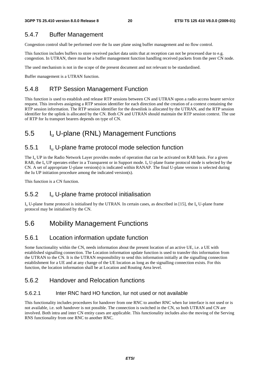### 5.4.7 Buffer Management

Congestion control shall be performed over the Iu user plane using buffer management and no flow control.

This function includes buffers to store received packet data units that at reception can not be processed due to e.g. congestion. In UTRAN, there must be a buffer management function handling received packets from the peer CN node.

The used mechanism is not in the scope of the present document and not relevant to be standardised.

Buffer management is a UTRAN function.

### 5.4.8 RTP Session Management Function

This function is used to establish and release RTP sessions between CN and UTRAN upon a radio access bearer service request. This involves assigning a RTP session identifier for each direction and the creation of a context containing the RTP session information. The RTP session identifier for the downlink is allocated by the UTRAN, and the RTP session identifier for the uplink is allocated by the CN. Both CN and UTRAN should maintain the RTP session context. The use of RTP for Iu transport bearers depends on type of CN.

# 5.5 Iu U-plane (RNL) Management Functions

### 5.5.1 Iu U-plane frame protocol mode selection function

The  $I_{\rm u}$  UP in the Radio Network Layer provides modes of operation that can be activated on RAB basis. For a given RAB, the  $I_{\rm u}$  UP operates either in a Transparent or in Support mode.  $I_{\rm u}$  U-plane frame protocol mode is selected by the CN. A set of appropriate U-plane version(s) is indicated within RANAP. The final U-plane version is selected during the Iu UP initiation procedure among the indicated version(s).

This function is a CN function.

### 5.5.2 Iu U-plane frame protocol initialisation

 $I_{\rm u}$  U-plane frame protocol is initialised by the UTRAN. In certain cases, as described in [15], the  $I_{\rm u}$  U-plane frame protocol may be initialised by the CN.

# 5.6 Mobility Management Functions

### 5.6.1 Location information update function

Some functionality within the CN, needs information about the present location of an active UE, i.e. a UE with established signalling connection. The Location information update function is used to transfer this information from the UTRAN to the CN. It is the UTRAN responsibility to send this information initially at the signalling connection establishment for a UE and at any change of the UE location as long as the signalling connection exists. For this function, the location information shall be at Location and Routing Area level.

### 5.6.2 Handover and Relocation functions

#### 5.6.2.1 Inter RNC hard HO function, Iur not used or not available

This functionality includes procedures for handover from one RNC to another RNC when Iur interface is not used or is not available, i.e. soft handover is not possible. The connection is switched in the CN, so both UTRAN and CN are involved. Both intra and inter CN entity cases are applicable. This functionality includes also the moving of the Serving RNS functionality from one RNC to another RNC.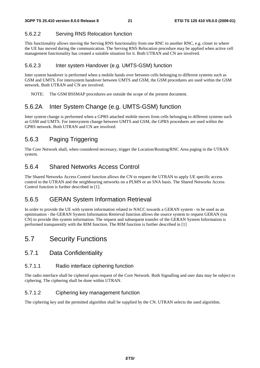#### 5.6.2.2 Serving RNS Relocation function

This functionality allows moving the Serving RNS functionality from one RNC to another RNC, e.g. closer to where the UE has moved during the communication. The Serving RNS Relocation procedure may be applied when active cell management functionality has created a suitable situation for it. Both UTRAN and CN are involved.

#### 5.6.2.3 Inter system Handover (e.g. UMTS-GSM) function

Inter system handover is performed when a mobile hands over between cells belonging to different systems such as GSM and UMTS. For intersystem handover between UMTS and GSM, the GSM procedures are used within the GSM network. Both UTRAN and CN are involved.

NOTE: The GSM BSSMAP procedures are outside the scope of the present document.

### 5.6.2A Inter System Change (e.g. UMTS-GSM) function

Inter system change is performed when a GPRS attached mobile moves from cells belonging to different systems such as GSM and UMTS. For intersystem change between UMTS and GSM, the GPRS procedures are used within the GPRS network. Both UTRAN and CN are involved.

### 5.6.3 Paging Triggering

The Core Network shall, when considered necessary, trigger the Location/Routing/RNC Area paging in the UTRAN system.

### 5.6.4 Shared Networks Access Control

The Shared Networks Access Control function allows the CN to request the UTRAN to apply UE specific access control to the UTRAN and the neighbouring networks on a PLMN or an SNA basis. The Shared Networks Access Control function is further described in [1].

### 5.6.5 GERAN System Information Retrieval

In order to provide the UE with system information related to NACC towards a GERAN system - to be used as an optimisation - the GERAN System Information Retrieval function allows the source system to request GERAN (via CN) to provide this system information. The request and subsequent transfer of the GERAN System Information is performed transparently with the RIM function. The RIM function is further described in [1]

### 5.7 Security Functions

#### 5.7.1 Data Confidentiality

#### 5.7.1.1 Radio interface ciphering function

The radio interface shall be ciphered upon request of the Core Network. Both Signalling and user data may be subject to ciphering. The ciphering shall be done within UTRAN.

#### 5.7.1.2 Ciphering key management function

The ciphering key and the permitted algorithm shall be supplied by the CN. UTRAN selects the used algorithm.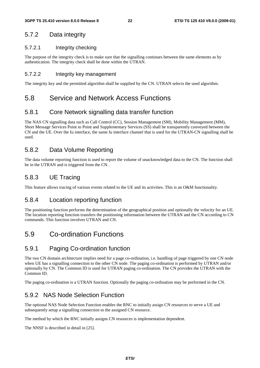### 5.7.2 Data integrity

#### 5.7.2.1 Integrity checking

The purpose of the integrity check is to make sure that the signalling continues between the same elements as by authentication. The integrity check shall be done within the UTRAN.

#### 5.7.2.2 Integrity key management

The integrity key and the permitted algorithm shall be supplied by the CN. UTRAN selects the used algorithm.

### 5.8 Service and Network Access Functions

#### 5.8.1 Core Network signalling data transfer function

The NAS CN signalling data such as Call Control (CC), Session Management (SM), Mobility Management (MM), Short Message Services Point to Point and Supplementary Services (SS) shall be transparently conveyed between the CN and the UE. Over the Iu interface, the same Iu interface channel that is used for the UTRAN-CN signalling shall be used.

### 5.8.2 Data Volume Reporting

The data volume reporting function is used to report the volume of unacknowledged data to the CN. The function shall be in the UTRAN and is triggered from the CN.

### 5.8.3 UE Tracing

This feature allows tracing of various events related to the UE and its activities. This is an O&M functionality.

#### 5.8.4 Location reporting function

The positioning function performs the determination of the geographical position and optionally the velocity for an UE. The location reporting function transfers the positioning information between the UTRAN and the CN according to CN commands. This function involves UTRAN and CN.

# 5.9 Co-ordination Functions

### 5.9.1 Paging Co-ordination function

The two CN domain architecture implies need for a page co-ordination, i.e. handling of page triggered by one CN node when UE has a signalling connection to the other CN node. The paging co-ordination is performed by UTRAN and/or optionally by CN. The Common ID is used for UTRAN paging co-ordination. The CN provides the UTRAN with the Common ID.

The paging co-ordination is a UTRAN function. Optionally the paging co-ordination may be performed in the CN.

### 5.9.2 NAS Node Selection Function

The optional NAS Node Selection Function enables the RNC to initially assign CN resources to serve a UE and subsequently setup a signalling connection to the assigned CN resource.

The method by which the RNC initially assigns CN resources is implementation dependent.

The NNSF is described in detail in [25].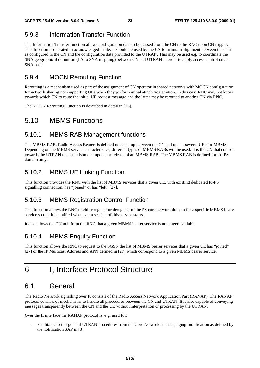# 5.9.3 Information Transfer Function

The Information Transfer function allows configuration data to be passed from the CN to the RNC upon CN trigger. This function is operated in acknowledged mode. It should be used by the CN to maintain alignment between the data as configured in the CN and the configuration data provided to the UTRAN. This may be used e.g. to coordinate the SNA geographical definition (LA to SNA mapping) between CN and UTRAN in order to apply access control on an SNA basis.

#### 5.9.4 MOCN Rerouting Function

Rerouting is a mechanism used as part of the assignment of CN operator in shared networks with MOCN configuration for network sharing non-supporting UEs when they perform initial attach /registration. In this case RNC may not know towards which CN to route the initial UE request message and the latter may be rerouted to another CN via RNC.

The MOCN Rerouting Function is described in detail in [26].

### 5.10 MBMS Functions

#### 5.10.1 MBMS RAB Management functions

The MBMS RAB, Radio Access Bearer, is defined to be set-up between the CN and one or several UEs for MBMS. Depending on the MBMS service characteristics, different types of MBMS RABs will be used. It is the CN that controls towards the UTRAN the establishment, update or release of an MBMS RAB. The MBMS RAB is defined for the PS domain only.

### 5.10.2 MBMS UE Linking Function

This function provides the RNC with the list of MBMS services that a given UE, with existing dedicated Iu-PS signalling connection, has "joined" or has "left" [27].

#### 5.10.3 MBMS Registration Control Function

This function allows the RNC to either register or deregister to the PS core network domain for a specific MBMS bearer service so that it is notified whenever a session of this service starts.

It also allows the CN to inform the RNC that a given MBMS bearer service is no longer available.

#### 5.10.4 MBMS Enquiry Function

This function allows the RNC to request to the SGSN the list of MBMS bearer services that a given UE has "joined" [27] or the IP Multicast Address and APN defined in [27] which correspond to a given MBMS bearer service.

# 6 Iu Interface Protocol Structure

### 6.1 General

The Radio Network signalling over Iu consists of the Radio Access Network Application Part (RANAP). The RANAP protocol consists of mechanisms to handle all procedures between the CN and UTRAN. It is also capable of conveying messages transparently between the CN and the UE without interpretation or processing by the UTRAN.

Over the  $I_u$  interface the RANAP protocol is, e.g. used for:

- Facilitate a set of general UTRAN procedures from the Core Network such as paging -notification as defined by the notification SAP in [3].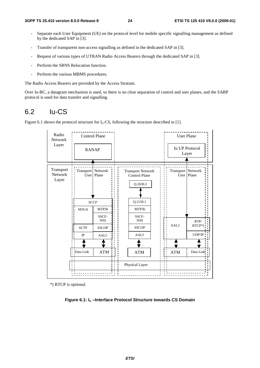- Separate each User Equipment (UE) on the protocol level for mobile specific signalling management as defined by the dedicated SAP in [3].
- Transfer of transparent non-access signalling as defined in the dedicated SAP in [3].
- Request of various types of UTRAN Radio Access Bearers through the dedicated SAP in [3].
- Perform the SRNS Relocation function.
- Perform the various MBMS procedures.

The Radio Access Bearers are provided by the Access Stratum.

Over Iu-BC, a datagram mechanism is used, so there is no clear separation of control and user planes, and the SABP protocol is used for data transfer and signalling.

### 6.2 Iu-CS

Figure 6.1 shows the protocol structure for  $I_u$ -CS, following the structure described in [1].



\*) RTCP is optional.

**Figure 6.1: Iu –Interface Protocol Structure towards CS Domain**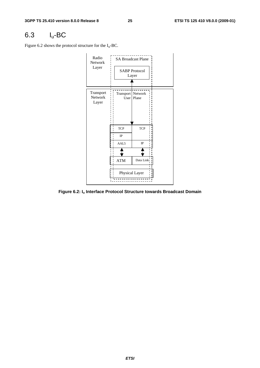# 6.3 Iu-BC

Figure 6.2 shows the protocol structure for the  $I_u$ -BC.



**Figure 6.2: Iu Interface Protocol Structure towards Broadcast Domain**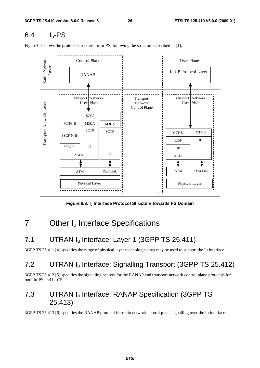# 6.4 Iu-PS

\_ \_ \_ \_ \_ \_ \_ \_ \_ \_ \_ \_ \_ Radio Network Radio Network Control Plane  $\overrightarrow{ }$  User Plane Layer RANAP Iu UP Protocol Layer Transport Network Transport Transport Network Transport Network Layer User Plane Network User Plane Transport Network Layer Control Plane **SCCP**  $MTP3-B$  M3UA M3UA **SCTP SCTP** GTP-U GTP-U SSCF-NNI UDP UDP SSCOP IP IP IP AAL5 AAL5 IP ATM Data Link ATM Data Link Physical Layer Physical Layer

Figure 6.3 shows the protocol structure for Iu-PS, following the structure described in [1].

Figure 6.3: I<sub>u</sub> Interface Protocol Structure towards PS Domain

# 7 Other I<sub>u</sub> Interface Specifications

# 7.1 UTRAN I<sub>u</sub> Interface: Layer 1 (3GPP TS 25.411)

3GPP TS 25.411 [4] specifies the range of physical layer technologies that may be used to support the Iu interface.

# 7.2 UTRAN Iu Interface: Signalling Transport (3GPP TS 25.412)

3GPP TS 25.412 [5] specifies the signalling bearers for the RANAP and transport network control plane protocols for both Iu-PS and Iu-CS.

# 7.3 UTRAN Iu Interface: RANAP Specification (3GPP TS 25.413)

3GPP TS 25.413 [6] specifies the RANAP protocol for radio network control plane signalling over the Iu interface.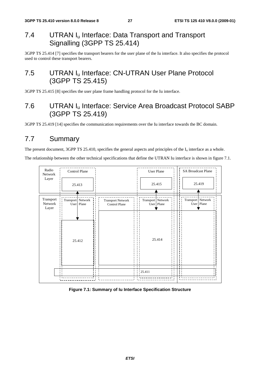# 7.4 UTRAN I<sub>u</sub> Interface: Data Transport and Transport Signalling (3GPP TS 25.414)

3GPP TS 25.414 [7] specifies the transport bearers for the user plane of the Iu interface. It also specifies the protocol used to control these transport bearers.

# 7.5 UTRAN I<sub>u</sub> Interface: CN-UTRAN User Plane Protocol (3GPP TS 25.415)

3GPP TS 25.415 [8] specifies the user plane frame handling protocol for the Iu interface.

# 7.6 UTRAN Iu Interface: Service Area Broadcast Protocol SABP (3GPP TS 25.419)

3GPP TS 25.419 [14] specifies the communication requirements over the Iu interface towards the BC domain.

# 7.7 Summary

The present document, 3GPP TS 25.410, specifies the general aspects and principles of the  $I_u$  interface as a whole.

The relationship between the other technical specifications that define the UTRAN Iu interface is shown in figure 7.1.



#### **Figure 7.1: Summary of Iu Interface Specification Structure**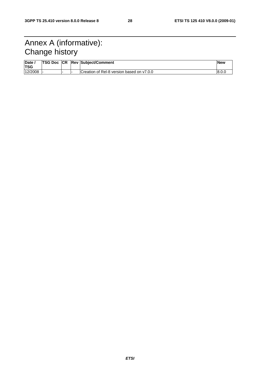# Annex A (informative): Change history

| Date,<br><b>TSG</b> | <b>TSG Doc ICR</b> |  | <b>Rev Subject/Comment</b>                | <b>New</b> |
|---------------------|--------------------|--|-------------------------------------------|------------|
| 12/2008             |                    |  | Creation of Rel-8 version based on v7.0.0 |            |